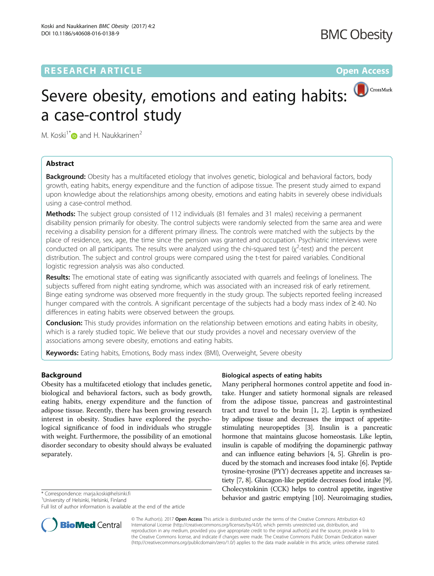## **RESEARCH ARTICLE Example 2018 12:00 Department of the Contract Open Access**

# Severe obesity, emotions and eating habits: a case-control study

M. Koski<sup>1[\\*](http://orcid.org/0000-0002-4131-5936)</sup> $\bullet$  and H. Naukkarinen<sup>2</sup>

## Abstract

Background: Obesity has a multifaceted etiology that involves genetic, biological and behavioral factors, body growth, eating habits, energy expenditure and the function of adipose tissue. The present study aimed to expand upon knowledge about the relationships among obesity, emotions and eating habits in severely obese individuals using a case-control method.

Methods: The subject group consisted of 112 individuals (81 females and 31 males) receiving a permanent disability pension primarily for obesity. The control subjects were randomly selected from the same area and were receiving a disability pension for a different primary illness. The controls were matched with the subjects by the place of residence, sex, age, the time since the pension was granted and occupation. Psychiatric interviews were conducted on all participants. The results were analyzed using the chi-squared test ( $\chi^2$ -test) and the percent distribution. The subject and control groups were compared using the t-test for paired variables. Conditional logistic regression analysis was also conducted.

Results: The emotional state of eating was significantly associated with quarrels and feelings of loneliness. The subjects suffered from night eating syndrome, which was associated with an increased risk of early retirement. Binge eating syndrome was observed more frequently in the study group. The subjects reported feeling increased hunger compared with the controls. A significant percentage of the subjects had a body mass index of ≥ 40. No differences in eating habits were observed between the groups.

**Conclusion:** This study provides information on the relationship between emotions and eating habits in obesity, which is a rarely studied topic. We believe that our study provides a novel and necessary overview of the associations among severe obesity, emotions and eating habits.

Keywords: Eating habits, Emotions, Body mass index (BMI), Overweight, Severe obesity

## Background

Obesity has a multifaceted etiology that includes genetic, biological and behavioral factors, such as body growth, eating habits, energy expenditure and the function of adipose tissue. Recently, there has been growing research interest in obesity. Studies have explored the psychological significance of food in individuals who struggle with weight. Furthermore, the possibility of an emotional disorder secondary to obesity should always be evaluated separately.

University of Helsinki, Helsinki, Finland

Full list of author information is available at the end of the article



## Biological aspects of eating habits

Many peripheral hormones control appetite and food intake. Hunger and satiety hormonal signals are released from the adipose tissue, pancreas and gastrointestinal tract and travel to the brain [\[1](#page-7-0), [2](#page-7-0)]. Leptin is synthesized by adipose tissue and decreases the impact of appetitestimulating neuropeptides [[3](#page-7-0)]. Insulin is a pancreatic hormone that maintains glucose homeostasis. Like leptin, insulin is capable of modifying the dopaminergic pathway and can influence eating behaviors [[4, 5](#page-7-0)]. Ghrelin is produced by the stomach and increases food intake [\[6\]](#page-7-0). Peptide tyrosine-tyrosine (PYY) decreases appetite and increases satiety [\[7](#page-7-0), [8\]](#page-8-0). Glucagon-like peptide decreases food intake [[9](#page-8-0)]. Cholecystokinin (CCK) helps to control appetite, ingestive \* Correspondence: [marja.koski@helsinki.fi](mailto:marja.koski@helsinki.fi) **behavior and gastric emptying [[10](#page-8-0)]. Neuroimaging studies,** \* <sup>1</sup>University of Helsinki. Finland **behavior and gastric emptying [10]. Neuroimaging studies,** 

> © The Author(s). 2017 **Open Access** This article is distributed under the terms of the Creative Commons Attribution 4.0 International License [\(http://creativecommons.org/licenses/by/4.0/](http://creativecommons.org/licenses/by/4.0/)), which permits unrestricted use, distribution, and reproduction in any medium, provided you give appropriate credit to the original author(s) and the source, provide a link to the Creative Commons license, and indicate if changes were made. The Creative Commons Public Domain Dedication waiver [\(http://creativecommons.org/publicdomain/zero/1.0/](http://creativecommons.org/publicdomain/zero/1.0/)) applies to the data made available in this article, unless otherwise stated.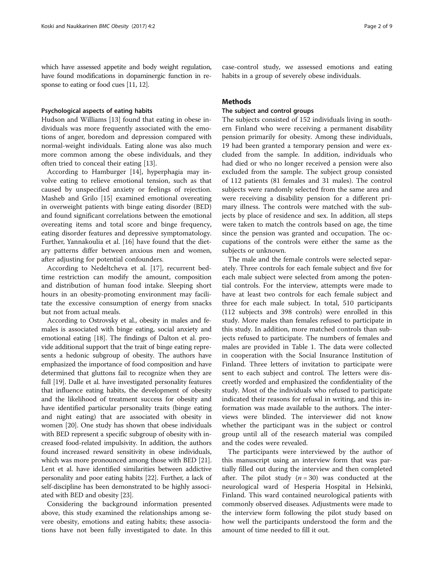which have assessed appetite and body weight regulation, have found modifications in dopaminergic function in re-sponse to eating or food cues [[11](#page-8-0), [12](#page-8-0)].

#### Psychological aspects of eating habits

Hudson and Williams [[13\]](#page-8-0) found that eating in obese individuals was more frequently associated with the emotions of anger, boredom and depression compared with normal-weight individuals. Eating alone was also much more common among the obese individuals, and they often tried to conceal their eating [\[13](#page-8-0)].

According to Hamburger [\[14](#page-8-0)], hyperphagia may involve eating to relieve emotional tension, such as that caused by unspecified anxiety or feelings of rejection. Masheb and Grilo [[15](#page-8-0)] examined emotional overeating in overweight patients with binge eating disorder (BED) and found significant correlations between the emotional overeating items and total score and binge frequency, eating disorder features and depressive symptomatology. Further, Yannakoulia et al. [\[16](#page-8-0)] have found that the dietary patterns differ between anxious men and women, after adjusting for potential confounders.

According to Nedeltcheva et al. [\[17](#page-8-0)], recurrent bedtime restriction can modify the amount, composition and distribution of human food intake. Sleeping short hours in an obesity-promoting environment may facilitate the excessive consumption of energy from snacks but not from actual meals.

According to Ostrovsky et al., obesity in males and females is associated with binge eating, social anxiety and emotional eating [[18\]](#page-8-0). The findings of Dalton et al. provide additional support that the trait of binge eating represents a hedonic subgroup of obesity. The authors have emphasized the importance of food composition and have determined that gluttons fail to recognize when they are full [\[19\]](#page-8-0). Dalle et al. have investigated personality features that influence eating habits, the development of obesity and the likelihood of treatment success for obesity and have identified particular personality traits (binge eating and night eating) that are associated with obesity in women [[20](#page-8-0)]. One study has shown that obese individuals with BED represent a specific subgroup of obesity with increased food-related impulsivity. In addition, the authors found increased reward sensitivity in obese individuals, which was more pronounced among those with BED [[21](#page-8-0)]. Lent et al. have identified similarities between addictive personality and poor eating habits [\[22](#page-8-0)]. Further, a lack of self-discipline has been demonstrated to be highly associated with BED and obesity [\[23\]](#page-8-0).

Considering the background information presented above, this study examined the relationships among severe obesity, emotions and eating habits; these associations have not been fully investigated to date. In this

## **Methods**

## The subject and control groups

The subjects consisted of 152 individuals living in southern Finland who were receiving a permanent disability pension primarily for obesity. Among these individuals, 19 had been granted a temporary pension and were excluded from the sample. In addition, individuals who had died or who no longer received a pension were also excluded from the sample. The subject group consisted of 112 patients (81 females and 31 males). The control subjects were randomly selected from the same area and were receiving a disability pension for a different primary illness. The controls were matched with the subjects by place of residence and sex. In addition, all steps were taken to match the controls based on age, the time since the pension was granted and occupation. The occupations of the controls were either the same as the subjects or unknown.

The male and the female controls were selected separately. Three controls for each female subject and five for each male subject were selected from among the potential controls. For the interview, attempts were made to have at least two controls for each female subject and three for each male subject. In total, 510 participants (112 subjects and 398 controls) were enrolled in this study. More males than females refused to participate in this study. In addition, more matched controls than subjects refused to participate. The numbers of females and males are provided in Table [1](#page-2-0). The data were collected in cooperation with the Social Insurance Institution of Finland. Three letters of invitation to participate were sent to each subject and control. The letters were discreetly worded and emphasized the confidentiality of the study. Most of the individuals who refused to participate indicated their reasons for refusal in writing, and this information was made available to the authors. The interviews were blinded. The interviewer did not know whether the participant was in the subject or control group until all of the research material was compiled and the codes were revealed.

The participants were interviewed by the author of this manuscript using an interview form that was partially filled out during the interview and then completed after. The pilot study  $(n = 30)$  was conducted at the neurological ward of Hesperia Hospital in Helsinki, Finland. This ward contained neurological patients with commonly observed diseases. Adjustments were made to the interview form following the pilot study based on how well the participants understood the form and the amount of time needed to fill it out.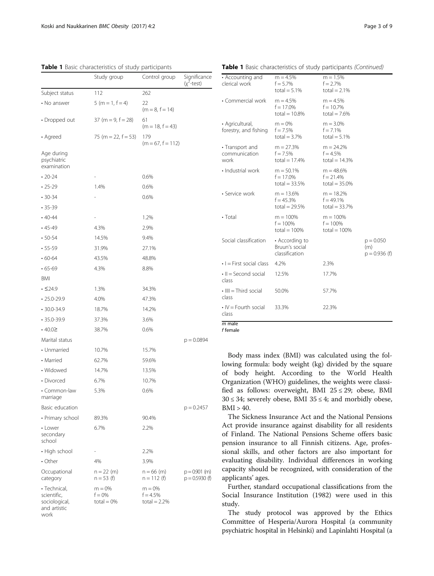<span id="page-2-0"></span>Table 1 Basic characteristics of study participants

|                                                                      | Study group                          | Control group                             | Significance<br>$(x^2$ -test)       |
|----------------------------------------------------------------------|--------------------------------------|-------------------------------------------|-------------------------------------|
| Subject status                                                       | 112                                  | 262                                       |                                     |
| • No answer                                                          | $5(m = 1, f = 4)$                    | 22<br>$(m = 8, f = 14)$                   |                                     |
| • Dropped out                                                        | $37$ (m = 9, f = 28)                 | 61<br>$(m = 18, f = 43)$                  |                                     |
| • Agreed                                                             | 75 (m = 22, $f = 53$ )               | 179<br>$(m = 67, f = 112)$                |                                     |
| Age during<br>psychiatric<br>examination                             |                                      |                                           |                                     |
| $\cdot$ 20-24                                                        |                                      | 0.6%                                      |                                     |
| $.25 - 29$                                                           | 1.4%                                 | 0.6%                                      |                                     |
| $.30 - 34$                                                           |                                      | 0.6%                                      |                                     |
| $.35 - 39$                                                           |                                      |                                           |                                     |
| $.40 - 44$                                                           |                                      | 1.2%                                      |                                     |
| $.45 - 49$                                                           | 4.3%                                 | 2.9%                                      |                                     |
| $\cdot$ 50-54                                                        | 14.5%                                | 9.4%                                      |                                     |
| $-55-59$                                                             | 31.9%                                | 27.1%                                     |                                     |
| $\cdot$ 60-64                                                        | 43.5%                                | 48.8%                                     |                                     |
| $.65 - 69$                                                           | 4.3%                                 | 8.8%                                      |                                     |
| BMI                                                                  |                                      |                                           |                                     |
| $\cdot$ $\leq$ 24.9                                                  | 1.3%                                 | 34.3%                                     |                                     |
| $\cdot$ 25.0-29.9                                                    | 4.0%                                 | 47.3%                                     |                                     |
| $\cdot$ 30.0-34.9                                                    | 18.7%                                | 14.2%                                     |                                     |
| $•35.0 - 39.9$                                                       | 37.3%                                | 3.6%                                      |                                     |
| $\cdot$ 40.0 $\ge$                                                   | 38.7%                                | 0.6%                                      |                                     |
| Marital status                                                       |                                      |                                           | $p = 0.0894$                        |
| • Unmarried                                                          | 10.7%                                | 15.7%                                     |                                     |
| • Married                                                            | 62.7%                                | 59.6%                                     |                                     |
| • Widowed                                                            | 14.7%                                | 13.5%                                     |                                     |
| • Divorced                                                           | 6.7%                                 | 10.7%                                     |                                     |
| • Common-law<br>marriage                                             | 5.3%                                 | 0.6%                                      |                                     |
| Basic education                                                      |                                      |                                           | $p = 0.2457$                        |
| • Primary school                                                     | 89.3%                                | 90.4%                                     |                                     |
| • Lower<br>secondary<br>school                                       | 6.7%                                 | 2.2%                                      |                                     |
| • High school                                                        |                                      | 2.2%                                      |                                     |
| $\cdot$ Other                                                        | 4%                                   | 3.9%                                      |                                     |
| Occupational<br>category                                             | $n = 22$ (m)<br>$n = 53$ (f)         | $n = 66$ (m)<br>$n = 112$ (f)             | $p = 0.901$ (m)<br>$p = 0.5930$ (f) |
| • Technical,<br>scientific,<br>sociological,<br>and artistic<br>work | $m = 0%$<br>$f = 0%$<br>$total = 0%$ | $m = 0%$<br>$f = 4.5%$<br>total = $2.2\%$ |                                     |

| • Accounting and<br>clerical work        | $m = 4.5%$<br>$f = 5.7%$<br>total = $5.1\%$        | $m = 1.5%$<br>$f = 2.7%$<br>total = $2.1\%$    |                                       |
|------------------------------------------|----------------------------------------------------|------------------------------------------------|---------------------------------------|
| • Commercial work                        | $m = 4.5%$<br>$f = 17.0\%$<br>total = $10.8\%$     | $m = 4.5%$<br>$f = 10.7\%$<br>total = $7.6%$   |                                       |
| • Agricultural,<br>forestry, and fishing | $m = 0%$<br>$f = 7.5%$<br>total = $3.7\%$          | $m = 3.0%$<br>$f = 7.1\%$<br>total = $5.1\%$   |                                       |
| • Transport and<br>communication<br>work | $m = 27.3%$<br>$f = 7.5%$<br>total = $17.4%$       | $m = 24.2%$<br>$f = 4.5%$<br>total = $14.3%$   |                                       |
| · Industrial work                        | $m = 50.1%$<br>$f = 17.0\%$<br>total = $33.5%$     | $m = 48.6%$<br>$f = 21.4%$<br>total = $35.0\%$ |                                       |
| · Service work                           | $m = 13.6%$<br>$f = 45.3%$<br>total = $29.5%$      | $m = 18.2%$<br>$f = 49.1\%$<br>total = $33.7%$ |                                       |
| $\cdot$ Total                            | $m = 100%$<br>$f = 100%$<br>$total = 100%$         | $m = 100%$<br>$f = 100%$<br>total = $100%$     |                                       |
| Social classification                    | • According to<br>Bruun's social<br>classification |                                                | $p = 0.050$<br>(m)<br>$p = 0.936$ (f) |
| $\cdot$ $=$ First social class           | 4.2%                                               | 2.3%                                           |                                       |
| $\cdot$ II = Second social<br>class      | 12.5%                                              | 17.7%                                          |                                       |
| $\cdot$ IIII = Third social<br>class     | 50.0%                                              | 57.7%                                          |                                       |
| $\cdot$ IV = Fourth social<br>class      | 33.3%                                              | 22.3%                                          |                                       |
| m male                                   |                                                    |                                                |                                       |

f female

Body mass index (BMI) was calculated using the following formula: body weight (kg) divided by the square of body height. According to the World Health Organization (WHO) guidelines, the weights were classified as follows: overweight, BMI  $25 \le 29$ ; obese, BMI  $30 \leq 34$ ; severely obese, BMI  $35 \leq 4$ ; and morbidly obese,  $BMI > 40.$ 

The Sickness Insurance Act and the National Pensions Act provide insurance against disability for all residents of Finland. The National Pensions Scheme offers basic pension insurance to all Finnish citizens. Age, professional skills, and other factors are also important for evaluating disability. Individual differences in working capacity should be recognized, with consideration of the applicants' ages.

Further, standard occupational classifications from the Social Insurance Institution (1982) were used in this study.

The study protocol was approved by the Ethics Committee of Hesperia/Aurora Hospital (a community psychiatric hospital in Helsinki) and Lapinlahti Hospital (a

Table 1 Basic characteristics of study participants (Continued)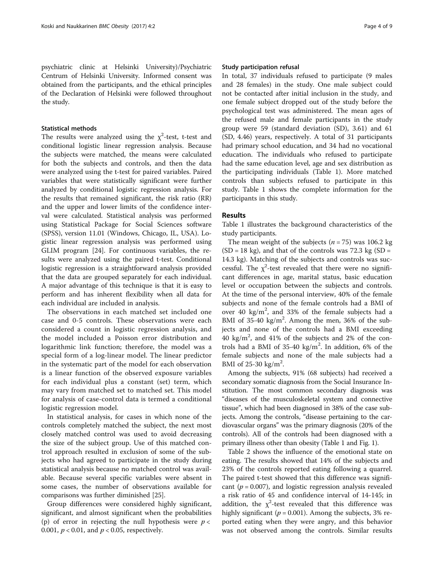psychiatric clinic at Helsinki University)/Psychiatric Centrum of Helsinki University. Informed consent was obtained from the participants, and the ethical principles of the Declaration of Helsinki were followed throughout the study.

#### Statistical methods

The results were analyzed using the  $\chi^2$ -test, t-test and conditional logistic linear regression analysis. Because the subjects were matched, the means were calculated for both the subjects and controls, and then the data were analyzed using the t-test for paired variables. Paired variables that were statistically significant were further analyzed by conditional logistic regression analysis. For the results that remained significant, the risk ratio (RR) and the upper and lower limits of the confidence interval were calculated. Statistical analysis was performed using Statistical Package for Social Sciences software (SPSS), version 11.01 (Windows, Chicago, IL, USA). Logistic linear regression analysis was performed using GLIM program [[24](#page-8-0)]. For continuous variables, the results were analyzed using the paired t-test. Conditional logistic regression is a straightforward analysis provided that the data are grouped separately for each individual. A major advantage of this technique is that it is easy to perform and has inherent flexibility when all data for each individual are included in analysis.

The observations in each matched set included one case and 0-5 controls. These observations were each considered a count in logistic regression analysis, and the model included a Poisson error distribution and logarithmic link function; therefore, the model was a special form of a log-linear model. The linear predictor in the systematic part of the model for each observation is a linear function of the observed exposure variables for each individual plus a constant (set) term, which may vary from matched set to matched set. This model for analysis of case-control data is termed a conditional logistic regression model.

In statistical analysis, for cases in which none of the controls completely matched the subject, the next most closely matched control was used to avoid decreasing the size of the subject group. Use of this matched control approach resulted in exclusion of some of the subjects who had agreed to participate in the study during statistical analysis because no matched control was available. Because several specific variables were absent in some cases, the number of observations available for comparisons was further diminished [\[25\]](#page-8-0).

Group differences were considered highly significant, significant, and almost significant when the probabilities (p) of error in rejecting the null hypothesis were  $p <$ 0.001,  $p < 0.01$ , and  $p < 0.05$ , respectively.

#### Study participation refusal

In total, 37 individuals refused to participate (9 males and 28 females) in the study. One male subject could not be contacted after initial inclusion in the study, and one female subject dropped out of the study before the psychological test was administered. The mean ages of the refused male and female participants in the study group were 59 (standard deviation (SD), 3.61) and 61 (SD, 4.46) years, respectively. A total of 31 participants had primary school education, and 34 had no vocational education. The individuals who refused to participate had the same education level, age and sex distribution as the participating individuals (Table [1](#page-2-0)). More matched controls than subjects refused to participate in this study. Table [1](#page-2-0) shows the complete information for the participants in this study.

## Results

Table [1](#page-2-0) illustrates the background characteristics of the study participants.

The mean weight of the subjects ( $n = 75$ ) was 106.2 kg  $(SD = 18 \text{ kg})$ , and that of the controls was 72.3 kg  $(SD = 18 \text{ kg})$ 14.3 kg). Matching of the subjects and controls was successful. The  $\chi^2$ -test revealed that there were no significant differences in age, marital status, basic education level or occupation between the subjects and controls. At the time of the personal interview, 40% of the female subjects and none of the female controls had a BMI of over 40  $\text{kg/m}^2$ , and 33% of the female subjects had a BMI of 35-40 kg/m<sup>2</sup>. Among the men, 36% of the subjects and none of the controls had a BMI exceeding 40 kg/m<sup>2</sup> , and 41% of the subjects and 2% of the controls had a BMI of  $35-40$  kg/m<sup>2</sup>. In addition, 6% of the female subjects and none of the male subjects had a BMI of  $25-30$  kg/m<sup>2</sup>.

Among the subjects, 91% (68 subjects) had received a secondary somatic diagnosis from the Social Insurance Institution. The most common secondary diagnosis was "diseases of the musculoskeletal system and connective tissue", which had been diagnosed in 38% of the case subjects. Among the controls, "disease pertaining to the cardiovascular organs" was the primary diagnosis (20% of the controls). All of the controls had been diagnosed with a primary illness other than obesity (Table [1](#page-2-0) and Fig. [1\)](#page-4-0).

Table [2](#page-4-0) shows the influence of the emotional state on eating. The results showed that 14% of the subjects and 23% of the controls reported eating following a quarrel. The paired t-test showed that this difference was significant ( $p = 0.007$ ), and logistic regression analysis revealed a risk ratio of 45 and confidence interval of 14-145; in addition, the  $\chi^2$ -test revealed that this difference was highly significant ( $p = 0.001$ ). Among the subjects, 3% reported eating when they were angry, and this behavior was not observed among the controls. Similar results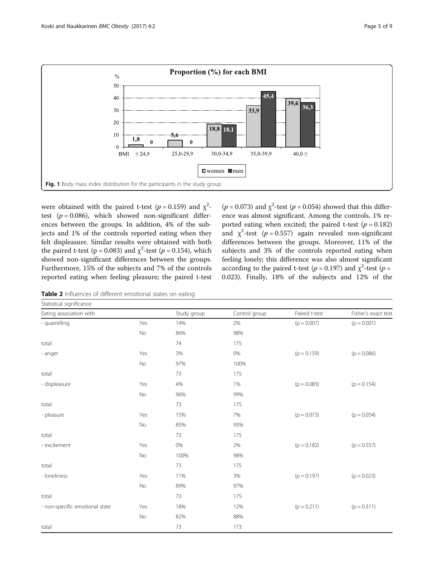<span id="page-4-0"></span>

were obtained with the paired t-test ( $p = 0.159$ ) and  $\chi^2$ test ( $p = 0.086$ ), which showed non-significant differences between the groups. In addition, 4% of the subjects and 1% of the controls reported eating when they felt displeasure. Similar results were obtained with both the paired t-test ( $p = 0.083$ ) and  $\chi^2$ -test ( $p = 0.154$ ), which showed non-significant differences between the groups. Furthermore, 15% of the subjects and 7% of the controls reported eating when feeling pleasure; the paired t-test

( $p = 0.073$ ) and  $\chi^2$ -test ( $p = 0.054$ ) showed that this difference was almost significant. Among the controls, 1% reported eating when excited; the paired t-test ( $p = 0.182$ ) and  $\chi^2$ -test (p = 0.557) again revealed non-significant differences between the groups. Moreover, 11% of the subjects and 3% of the controls reported eating when feeling lonely; this difference was also almost significant according to the paired t-test ( $p = 0.197$ ) and  $\chi^2$ -test ( $p =$ 0.023). Finally, 18% of the subjects and 12% of the

Table 2 Influences of different emotional states on eating

| Statistical significance       |     |             |               |               |                     |
|--------------------------------|-----|-------------|---------------|---------------|---------------------|
| Eating association with        |     | Study group | Control group | Paired t-test | Fisher's exact test |
| - quarrelling                  | Yes | 14%         | 2%            | $(p = 0.007)$ | $(p = 0.001)$       |
|                                | No  | 86%         | 98%           |               |                     |
| total                          |     | 74          | 175           |               |                     |
| - anger                        | Yes | 3%          | 0%            | $(p = 0.159)$ | $(p = 0.086)$       |
|                                | No  | 97%         | 100%          |               |                     |
| total                          |     | 73          | 175           |               |                     |
| - displeasure                  | Yes | 4%          | 1%            | $(p = 0.083)$ | $(p = 0.154)$       |
|                                | No  | 96%         | 99%           |               |                     |
| total                          |     | 73          | 175           |               |                     |
| - pleasure                     | Yes | 15%         | 7%            | $(p = 0.073)$ | $(p = 0.054)$       |
|                                | No  | 85%         | 93%           |               |                     |
| total                          |     | 73          | 175           |               |                     |
| - excitement                   | Yes | 0%          | 2%            | $(p = 0.182)$ | $(p = 0.557)$       |
|                                | No  | 100%        | 98%           |               |                     |
| total                          |     | 73          | 175           |               |                     |
| - Ioneliness                   | Yes | 11%         | 3%            | $(p = 0.197)$ | $(p = 0.023)$       |
|                                | No  | 89%         | 97%           |               |                     |
| total                          |     | 73          | 175           |               |                     |
| - non-specific emotional state | Yes | 18%         | 12%           | $(p = 0.211)$ | $(p = 0.311)$       |
|                                | No  | 82%         | 88%           |               |                     |
| total                          |     | 73          | 173           |               |                     |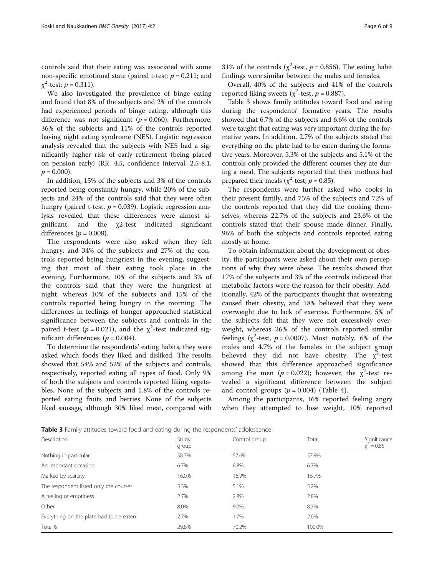controls said that their eating was associated with some non-specific emotional state (paired t-test;  $p = 0.211$ ; and  $\chi^2$ -test;  $p = 0.311$ ).

We also investigated the prevalence of binge eating and found that 8% of the subjects and 2% of the controls had experienced periods of binge eating, although this difference was not significant ( $p = 0.060$ ). Furthermore, 36% of the subjects and 11% of the controls reported having night eating syndrome (NES). Logistic regression analysis revealed that the subjects with NES had a significantly higher risk of early retirement (being placed on pension early) (RR: 4.5, confidence interval: 2.5-8.1,  $p = 0.000$ ).

In addition, 15% of the subjects and 3% of the controls reported being constantly hungry, while 20% of the subjects and 24% of the controls said that they were often hungry (paired t-test,  $p = 0.039$ ). Logistic regression analysis revealed that these differences were almost significant, and the χ2-test indicated significant differences ( $p = 0.008$ ).

The respondents were also asked when they felt hungry, and 34% of the subjects and 27% of the controls reported being hungriest in the evening, suggesting that most of their eating took place in the evening. Furthermore, 10% of the subjects and 3% of the controls said that they were the hungriest at night, whereas 10% of the subjects and 15% of the controls reported being hungry in the morning. The differences in feelings of hunger approached statistical significance between the subjects and controls in the paired t-test ( $p = 0.021$ ), and the  $\chi^2$ -test indicated significant differences ( $p = 0.004$ ).

To determine the respondents' eating habits, they were asked which foods they liked and disliked. The results showed that 54% and 52% of the subjects and controls, respectively, reported eating all types of food. Only 9% of both the subjects and controls reported liking vegetables. None of the subjects and 1.8% of the controls reported eating fruits and berries. None of the subjects liked sausage, although 30% liked meat, compared with

Overall, 40% of the subjects and 41% of the controls reported liking sweets ( $\chi^2$ -test,  $p = 0.887$ ).

Table 3 shows family attitudes toward food and eating during the respondents' formative years. The results showed that 6.7% of the subjects and 6.6% of the controls were taught that eating was very important during the formative years. In addition, 2.7% of the subjects stated that everything on the plate had to be eaten during the formative years. Moreover, 5.3% of the subjects and 5.1% of the controls only provided the different courses they ate during a meal. The subjects reported that their mothers had prepared their meals ( $\chi^2$ -test;  $p = 0.85$ ).

The respondents were further asked who cooks in their present family, and 75% of the subjects and 72% of the controls reported that they did the cooking themselves, whereas 22.7% of the subjects and 23.6% of the controls stated that their spouse made dinner. Finally, 96% of both the subjects and controls reported eating mostly at home.

To obtain information about the development of obesity, the participants were asked about their own perceptions of why they were obese. The results showed that 17% of the subjects and 3% of the controls indicated that metabolic factors were the reason for their obesity. Additionally, 42% of the participants thought that overeating caused their obesity, and 18% believed that they were overweight due to lack of exercise. Furthermore, 5% of the subjects felt that they were not excessively overweight, whereas 26% of the controls reported similar feelings ( $\chi^2$ -test,  $p = 0.0007$ ). Most notably, 6% of the males and 4.7% of the females in the subject group believed they did not have obesity. The  $\chi^2$ -test showed that this difference approached significance among the men ( $p = 0.022$ ); however, the  $\chi^2$ -test revealed a significant difference between the subject and control groups  $(p = 0.004)$  (Table [4\)](#page-6-0).

Among the participants, 16% reported feeling angry when they attempted to lose weight, 10% reported

Table 3 Family attitudes toward food and eating during the respondents' adolescence

| Description                             | Study<br>group | Control group | Total  | Significance<br>$x^2 = 0.85$ |
|-----------------------------------------|----------------|---------------|--------|------------------------------|
| Nothing in particular                   | 58.7%          | 57.6%         | 57.9%  |                              |
| An important occasion                   | 6.7%           | 6.8%          | 6.7%   |                              |
| Marked by scarcity                      | 16.0%          | 16.9%         | 16.7%  |                              |
| The respondent listed only the courses  | 5.3%           | 5.1%          | 5.2%   |                              |
| A feeling of emptiness                  | 2.7%           | 2.8%          | 2.8%   |                              |
| Other                                   | 8.0%           | 9.0%          | 8.7%   |                              |
| Everything on the plate had to be eaten | 2.7%           | 1.7%          | 2.0%   |                              |
| Total%                                  | 29.8%          | 70.2%         | 100.0% |                              |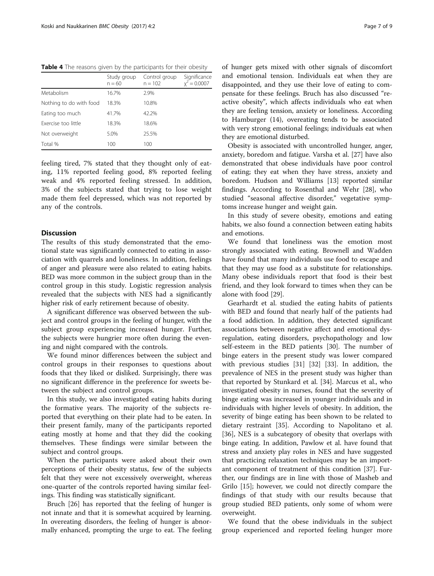<span id="page-6-0"></span>Table 4 The reasons given by the participants for their obesity

|                         | Study group<br>$n = 60$ | Control group<br>$n = 102$ | Significance<br>$t = 0.0007$ |
|-------------------------|-------------------------|----------------------------|------------------------------|
| Metabolism              | 16.7%                   | 2.9%                       |                              |
| Nothing to do with food | 18.3%                   | 10.8%                      |                              |
| Eating too much         | 41.7%                   | 42.2%                      |                              |
| Exercise too little     | 18.3%                   | 18.6%                      |                              |
| Not overweight          | 5.0%                    | 25.5%                      |                              |
| Total %                 | 100                     | 100                        |                              |

feeling tired, 7% stated that they thought only of eating, 11% reported feeling good, 8% reported feeling weak and 4% reported feeling stressed. In addition, 3% of the subjects stated that trying to lose weight made them feel depressed, which was not reported by any of the controls.

## Discussion

The results of this study demonstrated that the emotional state was significantly connected to eating in association with quarrels and loneliness. In addition, feelings of anger and pleasure were also related to eating habits. BED was more common in the subject group than in the control group in this study. Logistic regression analysis revealed that the subjects with NES had a significantly higher risk of early retirement because of obesity.

A significant difference was observed between the subject and control groups in the feeling of hunger, with the subject group experiencing increased hunger. Further, the subjects were hungrier more often during the evening and night compared with the controls.

We found minor differences between the subject and control groups in their responses to questions about foods that they liked or disliked. Surprisingly, there was no significant difference in the preference for sweets between the subject and control groups.

In this study, we also investigated eating habits during the formative years. The majority of the subjects reported that everything on their plate had to be eaten. In their present family, many of the participants reported eating mostly at home and that they did the cooking themselves. These findings were similar between the subject and control groups.

When the participants were asked about their own perceptions of their obesity status, few of the subjects felt that they were not excessively overweight, whereas one-quarter of the controls reported having similar feelings. This finding was statistically significant.

Bruch [[26](#page-8-0)] has reported that the feeling of hunger is not innate and that it is somewhat acquired by learning. In overeating disorders, the feeling of hunger is abnormally enhanced, prompting the urge to eat. The feeling of hunger gets mixed with other signals of discomfort and emotional tension. Individuals eat when they are disappointed, and they use their love of eating to compensate for these feelings. Bruch has also discussed "reactive obesity", which affects individuals who eat when they are feeling tension, anxiety or loneliness. According to Hamburger (14), overeating tends to be associated with very strong emotional feelings; individuals eat when they are emotional disturbed.

Obesity is associated with uncontrolled hunger, anger, anxiety, boredom and fatigue. Varsha et al. [\[27](#page-8-0)] have also demonstrated that obese individuals have poor control of eating; they eat when they have stress, anxiety and boredom. Hudson and Williams [\[13](#page-8-0)] reported similar findings. According to Rosenthal and Wehr [\[28](#page-8-0)], who studied "seasonal affective disorder," vegetative symptoms increase hunger and weight gain.

In this study of severe obesity, emotions and eating habits, we also found a connection between eating habits and emotions.

We found that loneliness was the emotion most strongly associated with eating. Brownell and Wadden have found that many individuals use food to escape and that they may use food as a substitute for relationships. Many obese individuals report that food is their best friend, and they look forward to times when they can be alone with food [[29\]](#page-8-0).

Gearhardt et al. studied the eating habits of patients with BED and found that nearly half of the patients had a food addiction. In addition, they detected significant associations between negative affect and emotional dysregulation, eating disorders, psychopathology and low self-esteem in the BED patients [\[30](#page-8-0)]. The number of binge eaters in the present study was lower compared with previous studies [[31](#page-8-0)] [\[32](#page-8-0)] [\[33\]](#page-8-0). In addition, the prevalence of NES in the present study was higher than that reported by Stunkard et al. [[34\]](#page-8-0). Marcus et al., who investigated obesity in nurses, found that the severity of binge eating was increased in younger individuals and in individuals with higher levels of obesity. In addition, the severity of binge eating has been shown to be related to dietary restraint [[35](#page-8-0)]. According to Napolitano et al. [[36\]](#page-8-0), NES is a subcategory of obesity that overlaps with binge eating. In addition, Pawlow et al. have found that stress and anxiety play roles in NES and have suggested that practicing relaxation techniques may be an important component of treatment of this condition [\[37](#page-8-0)]. Further, our findings are in line with those of Masheb and Grilo [\[15\]](#page-8-0); however, we could not directly compare the findings of that study with our results because that group studied BED patients, only some of whom were overweight.

We found that the obese individuals in the subject group experienced and reported feeling hunger more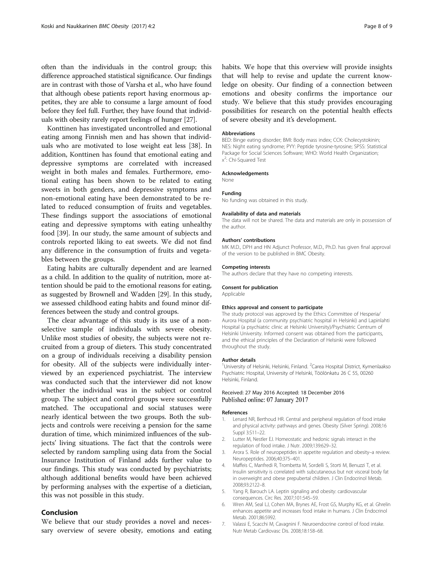<span id="page-7-0"></span>often than the individuals in the control group; this difference approached statistical significance. Our findings are in contrast with those of Varsha et al., who have found that although obese patients report having enormous appetites, they are able to consume a large amount of food before they feel full. Further, they have found that individuals with obesity rarely report feelings of hunger [[27](#page-8-0)].

Konttinen has investigated uncontrolled and emotional eating among Finnish men and has shown that individuals who are motivated to lose weight eat less [\[38](#page-8-0)]. In addition, Konttinen has found that emotional eating and depressive symptoms are correlated with increased weight in both males and females. Furthermore, emotional eating has been shown to be related to eating sweets in both genders, and depressive symptoms and non-emotional eating have been demonstrated to be related to reduced consumption of fruits and vegetables. These findings support the associations of emotional eating and depressive symptoms with eating unhealthy food [\[39\]](#page-8-0). In our study, the same amount of subjects and controls reported liking to eat sweets. We did not find any difference in the consumption of fruits and vegetables between the groups.

Eating habits are culturally dependent and are learned as a child. In addition to the quality of nutrition, more attention should be paid to the emotional reasons for eating, as suggested by Brownell and Wadden [[29](#page-8-0)]. In this study, we assessed childhood eating habits and found minor differences between the study and control groups.

The clear advantage of this study is its use of a nonselective sample of individuals with severe obesity. Unlike most studies of obesity, the subjects were not recruited from a group of dieters. This study concentrated on a group of individuals receiving a disability pension for obesity. All of the subjects were individually interviewed by an experienced psychiatrist. The interview was conducted such that the interviewer did not know whether the individual was in the subject or control group. The subject and control groups were successfully matched. The occupational and social statuses were nearly identical between the two groups. Both the subjects and controls were receiving a pension for the same duration of time, which minimized influences of the subjects' living situations. The fact that the controls were selected by random sampling using data from the Social Insurance Institution of Finland adds further value to our findings. This study was conducted by psychiatrists; although additional benefits would have been achieved by performing analyses with the expertise of a dietician, this was not possible in this study.

## Conclusion

We believe that our study provides a novel and necessary overview of severe obesity, emotions and eating habits. We hope that this overview will provide insights that will help to revise and update the current knowledge on obesity. Our finding of a connection between emotions and obesity confirms the importance our study. We believe that this study provides encouraging possibilities for research on the potential health effects of severe obesity and it's development.

#### **Abbreviations**

BED: Binge eating disorder; BMI: Body mass index; CCK: Cholecystokinin; NES: Night eating syndrome; PYY: Peptide tyrosine-tyrosine; SPSS: Statistical Package for Social Sciences Software; WHO: World Health Organization; x 2 : Chi-Squared Test

#### Acknowledgements

None

### Funding

No funding was obtained in this study.

#### Availability of data and materials

The data will not be shared. The data and materials are only in possession of the author.

#### Authors' contributions

MK M.D., DPH and HN Adjunct Professor, M.D., Ph.D. has given final approval of the version to be published in BMC Obesity.

#### Competing interests

The authors declare that they have no competing interests.

## Consent for publication

Applicable

#### Ethics approval and consent to participate

The study protocol was approved by the Ethics Committee of Hesperia/ Aurora Hospital (a community psychiatric hospital in Helsinki) and Lapinlahti Hospital (a psychiatric clinic at Helsinki University)/Psychiatric Centrum of Helsinki University. Informed consent was obtained from the participants, and the ethical principles of the Declaration of Helsinki were followed throughout the study.

#### Author details

<sup>1</sup>University of Helsinki, Helsinki, Finland. <sup>2</sup>Carea Hospital District, Kymenlaakso Psychiatric Hospital, University of Helsinki, Töölönkatu 26 C 55, 00260 Helsinki, Finland.

#### Received: 27 May 2016 Accepted: 18 December 2016 Published online: 07 January 2017

#### References

- 1. Lenard NR, Berthoud HR. Central and peripheral regulation of food intake and physical activity: pathways and genes. Obesity (Silver Spring). 2008;16 Suppl 3:S11–22.
- 2. Lutter M, Nestler EJ. Homeostatic and hedonic signals interact in the regulation of food intake. J Nutr. 2009;139:629–32.
- 3. Arora S. Role of neuropeptides in appetite regulation and obesity–a review. Neuropeptides. 2006;40:375–401.
- 4. Maffeis C, Manfredi R, Trombetta M, Sordelli S, Storti M, Benuzzi T, et al. Insulin sensitivity is correlated with subcutaneous but not visceral body fat in overweight and obese prepubertal children. J Clin Endocrinol Metab. 2008;93:2122–8.
- 5. Yang R, Barouch LA. Leptin signaling and obesity: cardiovascular consequences. Circ Res. 2007;101:545–59.
- 6. Wren AM, Seal LJ, Cohen MA, Brynes AE, Frost GS, Murphy KG, et al. Ghrelin enhances appetite and increases food intake in humans. J Clin Endocrinol Metab. 2001;86:5992.
- 7. Valassi E, Scacchi M, Cavagnini F. Neuroendocrine control of food intake. Nutr Metab Cardiovasc Dis. 2008;18:158–68.